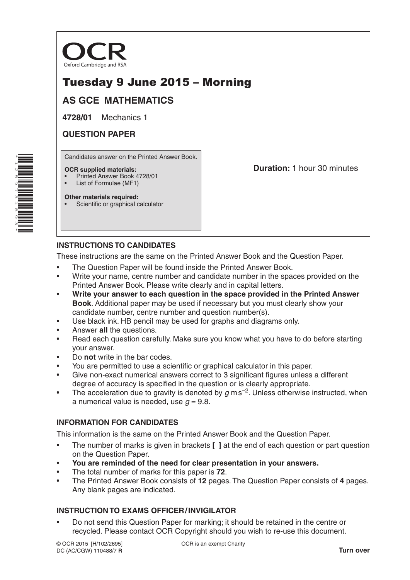

# Tuesday 9 June 2015 – Morning

# **AS GCE MATHEMATICS**

**4728/01** Mechanics 1

# **QUESTION PAPER**

Candidates answer on the Printed Answer Book.

#### **OCR supplied materials:**

- Printed Answer Book 4728/01
- List of Formulae (MF1)

**Duration:** 1 hour 30 minutes

#### **Other materials required:** Scientific or graphical calculator

## **INSTRUCTIONS TO CANDIDATES**

These instructions are the same on the Printed Answer Book and the Question Paper.

- The Question Paper will be found inside the Printed Answer Book.
- Write your name, centre number and candidate number in the spaces provided on the Printed Answer Book. Please write clearly and in capital letters.
- **Write your answer to each question in the space provided in the Printed Answer Book**. Additional paper may be used if necessary but you must clearly show your candidate number, centre number and question number(s).
- Use black ink. HB pencil may be used for graphs and diagrams only.
- Answer **all** the questions.
- Read each question carefully. Make sure you know what you have to do before starting your answer.
- Do **not** write in the bar codes.
- You are permitted to use a scientific or graphical calculator in this paper.
- Give non-exact numerical answers correct to 3 significant figures unless a different degree of accuracy is specified in the question or is clearly appropriate.
- The acceleration due to gravity is denoted by *g* ms<sup>−2</sup>. Unless otherwise instructed, when a numerical value is needed, use  $q = 9.8$ .

## **INFORMATION FOR CANDIDATES**

This information is the same on the Printed Answer Book and the Question Paper.

- The number of marks is given in brackets **[ ]** at the end of each question or part question on the Question Paper.
- **You are reminded of the need for clear presentation in your answers.**
- The total number of marks for this paper is **72**.
- The Printed Answer Book consists of **12** pages. The Question Paper consists of **4** pages. Any blank pages are indicated.

## **INSTRUCTION TO EXAMS OFFICER/INVIGILATOR**

• Do not send this Question Paper for marking; it should be retained in the centre or recycled. Please contact OCR Copyright should you wish to re-use this document.

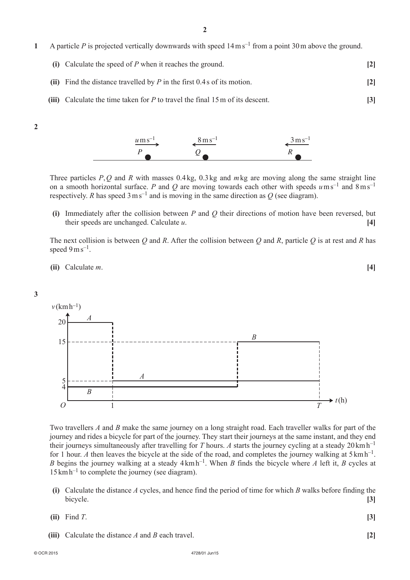- **1** A particle *P* is projected vertically downwards with speed 14ms–1 from a point 30m above the ground.
	- **(i)** Calculate the speed of *P* when it reaches the ground. **[2]**
	- **(ii)** Find the distance travelled by  $P$  in the first 0.4s of its motion.  $\begin{bmatrix} 2 \end{bmatrix}$
	- **(iii)** Calculate the time taken for *P* to travel the final 15 m of its descent. **[3]**

**2**



Three particles *P*,*Q* and *R* with masses 0.4 kg, 0.3 kg and *m*kg are moving along the same straight line on a smooth horizontal surface. *P* and *Q* are moving towards each other with speeds  $u \text{ m s}^{-1}$  and  $8 \text{ m s}^{-1}$ respectively. *R* has speed  $3 \text{ m s}^{-1}$  and is moving in the same direction as *Q* (see diagram).

**(i)** Immediately after the collision between *P* and *Q* their directions of motion have been reversed, but their speeds are unchanged. Calculate *u*. **[4]**

The next collision is between *Q* and *R*. After the collision between *Q* and *R*, particle *Q* is at rest and *R* has speed  $9 \,\mathrm{m}\,\mathrm{s}^{-1}$ .

 $\textbf{(ii)}$  Calculate *m*.  $\textbf{[4]}$ 

**3**



Two travellers *A* and *B* make the same journey on a long straight road. Each traveller walks for part of the journey and rides a bicycle for part of the journey. They start their journeys at the same instant, and they end their journeys simultaneously after travelling for *T* hours. A starts the journey cycling at a steady  $20 \text{ km h}^{-1}$ for 1 hour. *A* then leaves the bicycle at the side of the road, and completes the journey walking at  $5 \text{ km h}^{-1}$ . *B* begins the journey walking at a steady  $4 \text{ km h}^{-1}$ . When *B* finds the bicycle where *A* left it, *B* cycles at  $15 \text{ km h}^{-1}$  to complete the journey (see diagram).

- **(i)** Calculate the distance *A* cycles, and hence find the period of time for which *B* walks before finding the bicycle. **[3]**
- **(ii)** Find *T*. [3]
	- *(iii)* Calculate the distance *A* and *B* each travel. **[2]**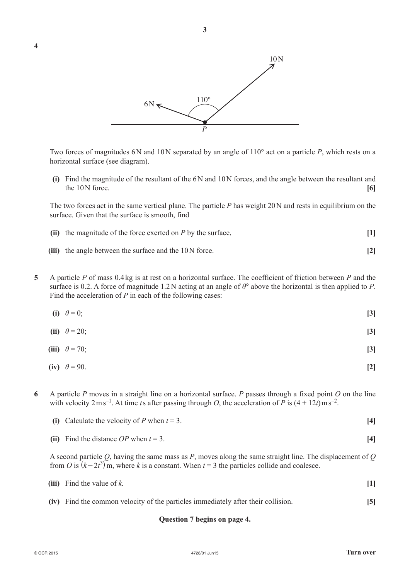

Two forces of magnitudes 6N and 10N separated by an angle of 110° act on a particle *P*, which rests on a horizontal surface (see diagram).

 **(i)**  Find the magnitude of the resultant of the 6N and 10N forces, and the angle between the resultant and the 10N force. **[6]**

The two forces act in the same vertical plane. The particle *P* has weight 20N and rests in equilibrium on the surface. Given that the surface is smooth, find

- **(ii)** the magnitude of the force exerted on *P* by the surface, **[1]**
- **(iii)** the angle between the surface and the 10N force. **[2]**
- **5**  A particle *P* of mass 0.4 kg is at rest on a horizontal surface. The coefficient of friction between *P* and the surface is 0.2. A force of magnitude 1.2N acting at an angle of *θ*° above the horizontal is then applied to *P*. Find the acceleration of *P* in each of the following cases:
- **(i)**  $\theta = 0$ ; **[3]**
- **(ii)**  $\theta = 20;$  [3]

$$
(iii) \quad \theta = 70; \tag{3}
$$

- **(iv)**  $\theta = 90$ . [2]
- **6**  A particle *P* moves in a straight line on a horizontal surface. *P* passes through a fixed point *O* on the line with velocity  $2 \text{ m s}^{-1}$ . At time *t*s after passing through *O*, the acceleration of *P* is  $(4 + 12t) \text{ m s}^{-2}$ .
	- **(i)** Calculate the velocity of *P* when  $t = 3$ . [4]
	- **(ii)** Find the distance *OP* when  $t = 3$ . [4]

A second particle *Q*, having the same mass as *P*, moves along the same straight line. The displacement of *Q* from *O* is  $(k - 2t^3)$  m, where *k* is a constant. When  $t = 3$  the particles collide and coalesce.

 **(iv)** Find the common velocity of the particles immediately after their collision. **[5]**

#### **Question 7 begins on page 4.**